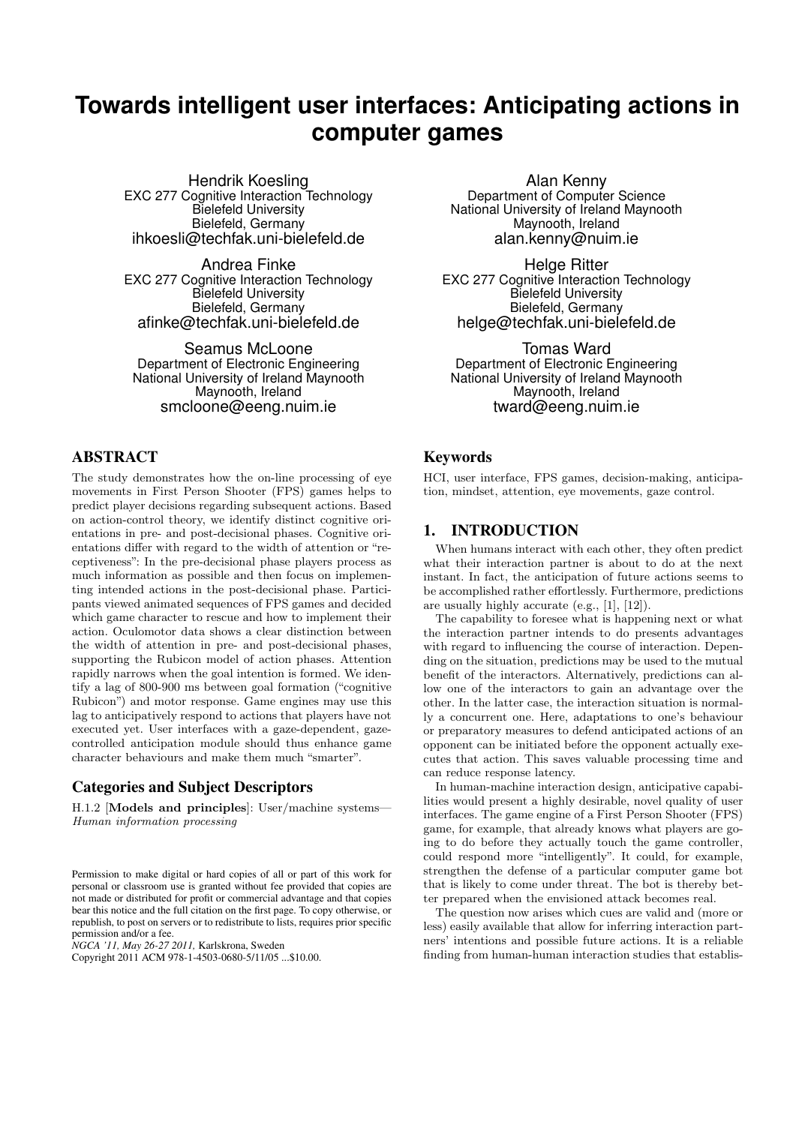# **Towards intelligent user interfaces: Anticipating actions in computer games**

Hendrik Koesling EXC 277 Cognitive Interaction Technology Bielefeld University Bielefeld, Germany ihkoesli@techfak.uni-bielefeld.de

Andrea Finke EXC 277 Cognitive Interaction Technology Bielefeld University Bielefeld, Germany afinke@techfak.uni-bielefeld.de

Seamus McLoone Department of Electronic Engineering National University of Ireland Maynooth Maynooth, Ireland smcloone@eeng.nuim.ie

## ABSTRACT

The study demonstrates how the on-line processing of eye movements in First Person Shooter (FPS) games helps to predict player decisions regarding subsequent actions. Based on action-control theory, we identify distinct cognitive orientations in pre- and post-decisional phases. Cognitive orientations differ with regard to the width of attention or "receptiveness": In the pre-decisional phase players process as much information as possible and then focus on implementing intended actions in the post-decisional phase. Participants viewed animated sequences of FPS games and decided which game character to rescue and how to implement their action. Oculomotor data shows a clear distinction between the width of attention in pre- and post-decisional phases, supporting the Rubicon model of action phases. Attention rapidly narrows when the goal intention is formed. We identify a lag of 800-900 ms between goal formation ("cognitive Rubicon") and motor response. Game engines may use this lag to anticipatively respond to actions that players have not executed yet. User interfaces with a gaze-dependent, gazecontrolled anticipation module should thus enhance game character behaviours and make them much "smarter".

#### Categories and Subject Descriptors

H.1.2 [**Models and principles**]: User/machine systems— *Human information processing*

*NGCA '11, May 26-27 2011,* Karlskrona, Sweden

Copyright 2011 ACM 978-1-4503-0680-5/11/05 ...\$10.00.

Alan Kenny Department of Computer Science National University of Ireland Maynooth Maynooth, Ireland alan.kenny@nuim.ie

Helge Ritter EXC 277 Cognitive Interaction Technology Bielefeld University Bielefeld, Germany helge@techfak.uni-bielefeld.de

Tomas Ward Department of Electronic Engineering National University of Ireland Maynooth Maynooth, Ireland tward@eeng.nuim.ie

#### Keywords

HCI, user interface, FPS games, decision-making, anticipation, mindset, attention, eye movements, gaze control.

#### 1. INTRODUCTION

When humans interact with each other, they often predict what their interaction partner is about to do at the next instant. In fact, the anticipation of future actions seems to be accomplished rather effortlessly. Furthermore, predictions are usually highly accurate (e.g., [1], [12]).

The capability to foresee what is happening next or what the interaction partner intends to do presents advantages with regard to influencing the course of interaction. Depending on the situation, predictions may be used to the mutual benefit of the interactors. Alternatively, predictions can allow one of the interactors to gain an advantage over the other. In the latter case, the interaction situation is normally a concurrent one. Here, adaptations to one's behaviour or preparatory measures to defend anticipated actions of an opponent can be initiated before the opponent actually executes that action. This saves valuable processing time and can reduce response latency.

In human-machine interaction design, anticipative capabilities would present a highly desirable, novel quality of user interfaces. The game engine of a First Person Shooter (FPS) game, for example, that already knows what players are going to do before they actually touch the game controller, could respond more "intelligently". It could, for example, strengthen the defense of a particular computer game bot that is likely to come under threat. The bot is thereby better prepared when the envisioned attack becomes real.

The question now arises which cues are valid and (more or less) easily available that allow for inferring interaction partners' intentions and possible future actions. It is a reliable finding from human-human interaction studies that establis-

Permission to make digital or hard copies of all or part of this work for personal or classroom use is granted without fee provided that copies are not made or distributed for profit or commercial advantage and that copies bear this notice and the full citation on the first page. To copy otherwise, or republish, to post on servers or to redistribute to lists, requires prior specific permission and/or a fee.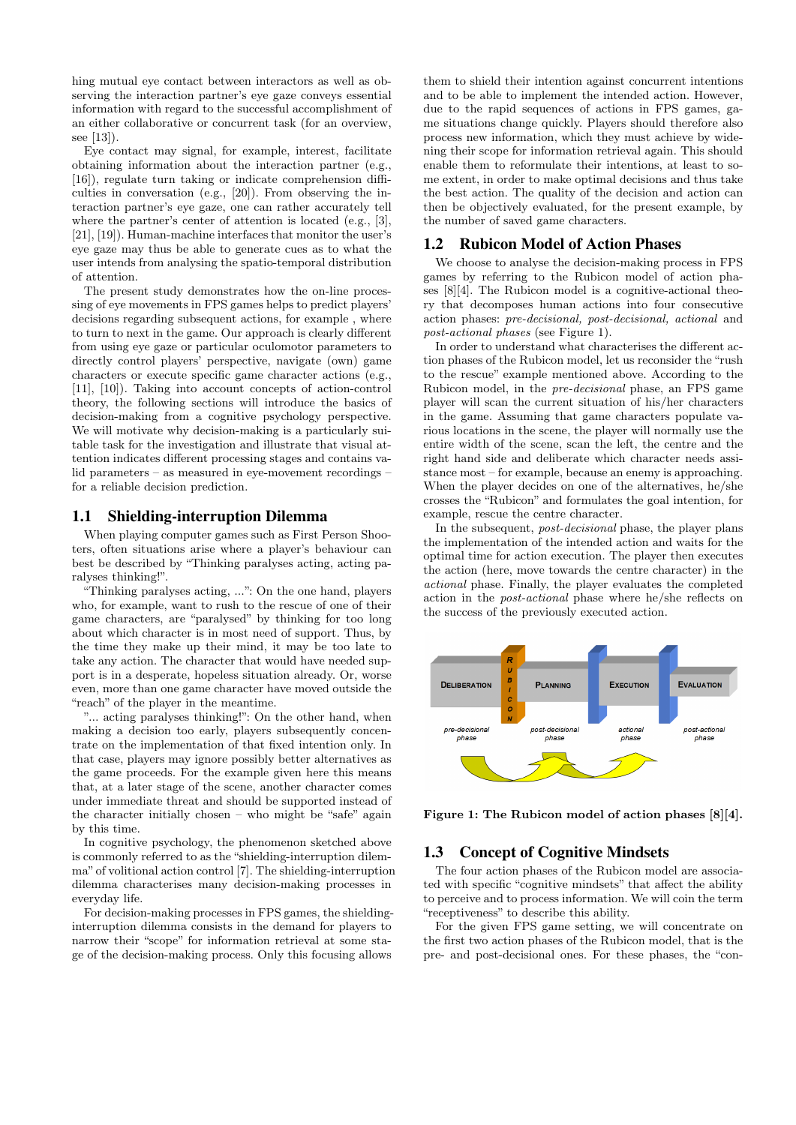hing mutual eye contact between interactors as well as observing the interaction partner's eye gaze conveys essential information with regard to the successful accomplishment of an either collaborative or concurrent task (for an overview, see [13]).

Eye contact may signal, for example, interest, facilitate obtaining information about the interaction partner (e.g., [16]), regulate turn taking or indicate comprehension difficulties in conversation (e.g., [20]). From observing the interaction partner's eye gaze, one can rather accurately tell where the partner's center of attention is located (e.g., [3], [21], [19]). Human-machine interfaces that monitor the user's eye gaze may thus be able to generate cues as to what the user intends from analysing the spatio-temporal distribution of attention.

The present study demonstrates how the on-line processing of eye movements in FPS games helps to predict players' decisions regarding subsequent actions, for example, where to turn to next in the game. Our approach is clearly different from using eye gaze or particular oculomotor parameters to directly control players' perspective, navigate (own) game characters or execute specific game character actions (e.g., [11], [10]). Taking into account concepts of action-control theory, the following sections will introduce the basics of decision-making from a cognitive psychology perspective. We will motivate why decision-making is a particularly suitable task for the investigation and illustrate that visual attention indicates different processing stages and contains valid parameters – as measured in eye-movement recordings – for a reliable decision prediction.

#### 1.1 Shielding-interruption Dilemma

When playing computer games such as First Person Shooters, often situations arise where a player's behaviour can best be described by "Thinking paralyses acting, acting paralyses thinking!".

"Thinking paralyses acting, ...": On the one hand, players who, for example, want to rush to the rescue of one of their game characters, are "paralysed" by thinking for too long about which character is in most need of support. Thus, by the time they make up their mind, it may be too late to take any action. The character that would have needed support is in a desperate, hopeless situation already. Or, worse even, more than one game character have moved outside the "reach" of the player in the meantime.

"... acting paralyses thinking!": On the other hand, when making a decision too early, players subsequently concentrate on the implementation of that fixed intention only. In that case, players may ignore possibly better alternatives as the game proceeds. For the example given here this means that, at a later stage of the scene, another character comes under immediate threat and should be supported instead of the character initially chosen – who might be "safe" again by this time.

In cognitive psychology, the phenomenon sketched above is commonly referred to as the "shielding-interruption dilemma"of volitional action control [7]. The shielding-interruption dilemma characterises many decision-making processes in everyday life.

For decision-making processes in FPS games, the shieldinginterruption dilemma consists in the demand for players to narrow their "scope" for information retrieval at some stage of the decision-making process. Only this focusing allows

them to shield their intention against concurrent intentions and to be able to implement the intended action. However, due to the rapid sequences of actions in FPS games, game situations change quickly. Players should therefore also process new information, which they must achieve by widening their scope for information retrieval again. This should enable them to reformulate their intentions, at least to some extent, in order to make optimal decisions and thus take the best action. The quality of the decision and action can then be objectively evaluated, for the present example, by the number of saved game characters.

#### 1.2 Rubicon Model of Action Phases

We choose to analyse the decision-making process in FPS games by referring to the Rubicon model of action phases [8][4]. The Rubicon model is a cognitive-actional theory that decomposes human actions into four consecutive action phases: *pre-decisional, post-decisional, actional* and *post-actional phases* (see Figure 1).

In order to understand what characterises the different action phases of the Rubicon model, let us reconsider the "rush to the rescue" example mentioned above. According to the Rubicon model, in the *pre-decisional* phase, an FPS game player will scan the current situation of his/her characters in the game. Assuming that game characters populate various locations in the scene, the player will normally use the entire width of the scene, scan the left, the centre and the right hand side and deliberate which character needs assistance most – for example, because an enemy is approaching. When the player decides on one of the alternatives, he/she crosses the "Rubicon" and formulates the goal intention, for example, rescue the centre character.

In the subsequent, *post-decisional* phase, the player plans the implementation of the intended action and waits for the optimal time for action execution. The player then executes the action (here, move towards the centre character) in the *actional* phase. Finally, the player evaluates the completed action in the *post-actional* phase where he/she reflects on the success of the previously executed action.



**Figure 1: The Rubicon model of action phases [8][4].**

## 1.3 Concept of Cognitive Mindsets

The four action phases of the Rubicon model are associated with specific "cognitive mindsets" that affect the ability to perceive and to process information. We will coin the term "receptiveness" to describe this ability.

For the given FPS game setting, we will concentrate on the first two action phases of the Rubicon model, that is the pre- and post-decisional ones. For these phases, the "con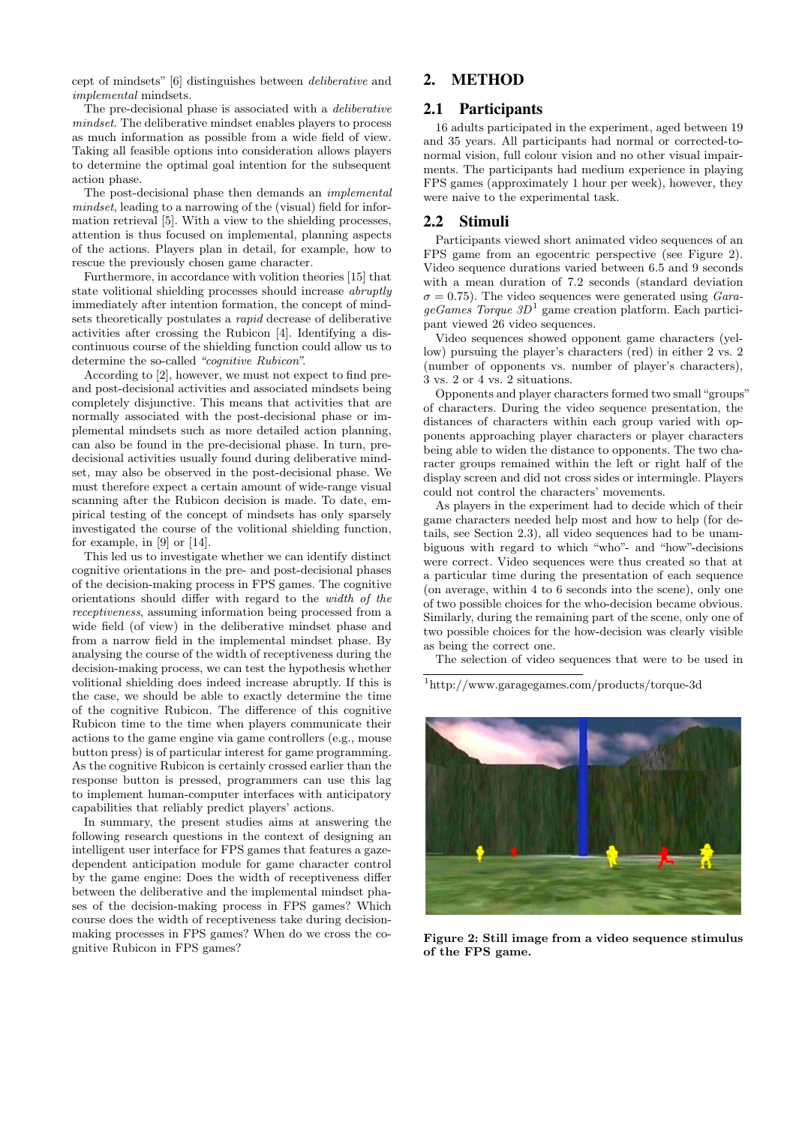cept of mindsets" [6] distinguishes between *deliberative* and *implemental* mindsets.

The pre-decisional phase is associated with a *deliberative mindset*. The deliberative mindset enables players to process as much information as possible from a wide field of view. Taking all feasible options into consideration allows players to determine the optimal goal intention for the subsequent action phase.

The post-decisional phase then demands an *implemental mindset*, leading to a narrowing of the (visual) field for information retrieval [5]. With a view to the shielding processes, attention is thus focused on implemental, planning aspects of the actions. Players plan in detail, for example, how to rescue the previously chosen game character.

Furthermore, in accordance with volition theories [15] that state volitional shielding processes should increase *abruptly* immediately after intention formation, the concept of mindsets theoretically postulates a *rapid* decrease of deliberative activities after crossing the Rubicon [4]. Identifying a discontinuous course of the shielding function could allow us to determine the so-called *"cognitive Rubicon"*.

According to [2], however, we must not expect to find preand post-decisional activities and associated mindsets being completely disjunctive. This means that activities that are normally associated with the post-decisional phase or implemental mindsets such as more detailed action planning, can also be found in the pre-decisional phase. In turn, predecisional activities usually found during deliberative mindset, may also be observed in the post-decisional phase. We must therefore expect a certain amount of wide-range visual scanning after the Rubicon decision is made. To date, empirical testing of the concept of mindsets has only sparsely investigated the course of the volitional shielding function, for example, in [9] or [14].

This led us to investigate whether we can identify distinct cognitive orientations in the pre- and post-decisional phases of the decision-making process in FPS games. The cognitive orientations should differ with regard to the *width of the receptiveness*, assuming information being processed from a wide field (of view) in the deliberative mindset phase and from a narrow field in the implemental mindset phase. By analysing the course of the width of receptiveness during the decision-making process, we can test the hypothesis whether volitional shielding does indeed increase abruptly. If this is the case, we should be able to exactly determine the time of the cognitive Rubicon. The difference of this cognitive Rubicon time to the time when players communicate their actions to the game engine via game controllers (e.g., mouse button press) is of particular interest for game programming. As the cognitive Rubicon is certainly crossed earlier than the response button is pressed, programmers can use this lag to implement human-computer interfaces with anticipatory capabilities that reliably predict players' actions.

In summary, the present studies aims at answering the following research questions in the context of designing an intelligent user interface for FPS games that features a gazedependent anticipation module for game character control by the game engine: Does the width of receptiveness differ between the deliberative and the implemental mindset phases of the decision-making process in FPS games? Which course does the width of receptiveness take during decisionmaking processes in FPS games? When do we cross the cognitive Rubicon in FPS games?

# 2. METHOD

#### 2.1 Participants

16 adults participated in the experiment, aged between 19 and 35 years. All participants had normal or corrected-tonormal vision, full colour vision and no other visual impairments. The participants had medium experience in playing FPS games (approximately 1 hour per week), however, they were naive to the experimental task.

## 2.2 Stimuli

Participants viewed short animated video sequences of an FPS game from an egocentric perspective (see Figure 2). Video sequence durations varied between 6.5 and 9 seconds with a mean duration of 7.2 seconds (standard deviation  $\sigma = 0.75$ ). The video sequences were generated using *GarageGames Torque 3D*<sup>1</sup> game creation platform. Each participant viewed 26 video sequences.

Video sequences showed opponent game characters (yellow) pursuing the player's characters (red) in either 2 vs. 2 (number of opponents vs. number of player's characters), 3 vs. 2 or 4 vs. 2 situations.

Opponents and player characters formed two small"groups" of characters. During the video sequence presentation, the distances of characters within each group varied with opponents approaching player characters or player characters being able to widen the distance to opponents. The two character groups remained within the left or right half of the display screen and did not cross sides or intermingle. Players could not control the characters' movements.

As players in the experiment had to decide which of their game characters needed help most and how to help (for details, see Section 2.3), all video sequences had to be unambiguous with regard to which "who"- and "how"-decisions were correct. Video sequences were thus created so that at a particular time during the presentation of each sequence (on average, within 4 to 6 seconds into the scene), only one of two possible choices for the who-decision became obvious. Similarly, during the remaining part of the scene, only one of two possible choices for the how-decision was clearly visible as being the correct one.

The selection of video sequences that were to be used in

 $^{\rm 1}$ http://www.garagegames.com/products/torque-3d



**Figure 2: Still image from a video sequence stimulus of the FPS game.**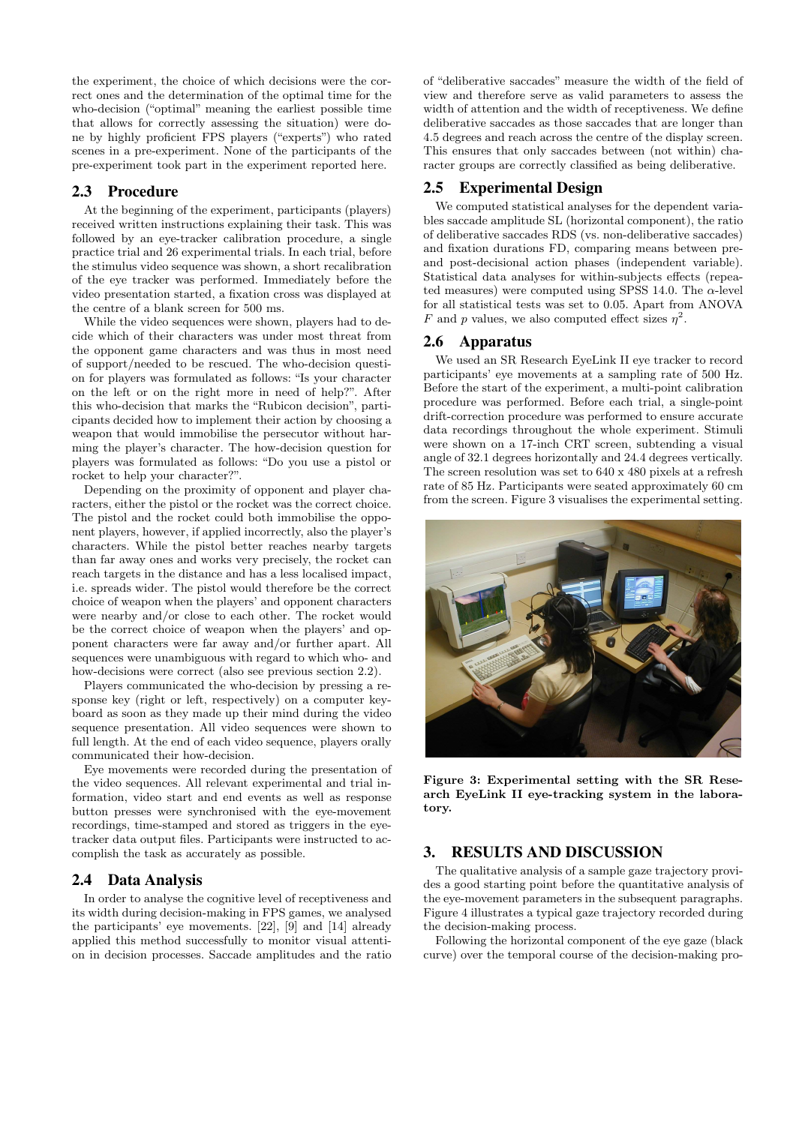the experiment, the choice of which decisions were the correct ones and the determination of the optimal time for the who-decision ("optimal" meaning the earliest possible time that allows for correctly assessing the situation) were done by highly proficient FPS players ("experts") who rated scenes in a pre-experiment. None of the participants of the pre-experiment took part in the experiment reported here.

## 2.3 Procedure

At the beginning of the experiment, participants (players) received written instructions explaining their task. This was followed by an eye-tracker calibration procedure, a single practice trial and 26 experimental trials. In each trial, before the stimulus video sequence was shown, a short recalibration of the eye tracker was performed. Immediately before the video presentation started, a fixation cross was displayed at the centre of a blank screen for 500 ms.

While the video sequences were shown, players had to decide which of their characters was under most threat from the opponent game characters and was thus in most need of support/needed to be rescued. The who-decision question for players was formulated as follows: "Is your character on the left or on the right more in need of help?". After this who-decision that marks the "Rubicon decision", participants decided how to implement their action by choosing a weapon that would immobilise the persecutor without harming the player's character. The how-decision question for players was formulated as follows: "Do you use a pistol or rocket to help your character?".

Depending on the proximity of opponent and player characters, either the pistol or the rocket was the correct choice. The pistol and the rocket could both immobilise the opponent players, however, if applied incorrectly, also the player's characters. While the pistol better reaches nearby targets than far away ones and works very precisely, the rocket can reach targets in the distance and has a less localised impact, i.e. spreads wider. The pistol would therefore be the correct choice of weapon when the players' and opponent characters were nearby and/or close to each other. The rocket would be the correct choice of weapon when the players' and opponent characters were far away and/or further apart. All sequences were unambiguous with regard to which who- and how-decisions were correct (also see previous section 2.2).

Players communicated the who-decision by pressing a response key (right or left, respectively) on a computer keyboard as soon as they made up their mind during the video sequence presentation. All video sequences were shown to full length. At the end of each video sequence, players orally communicated their how-decision.

Eye movements were recorded during the presentation of the video sequences. All relevant experimental and trial information, video start and end events as well as response button presses were synchronised with the eye-movement recordings, time-stamped and stored as triggers in the eyetracker data output files. Participants were instructed to accomplish the task as accurately as possible.

## 2.4 Data Analysis

In order to analyse the cognitive level of receptiveness and its width during decision-making in FPS games, we analysed the participants' eye movements. [22], [9] and [14] already applied this method successfully to monitor visual attention in decision processes. Saccade amplitudes and the ratio of "deliberative saccades" measure the width of the field of view and therefore serve as valid parameters to assess the width of attention and the width of receptiveness. We define deliberative saccades as those saccades that are longer than 4.5 degrees and reach across the centre of the display screen. This ensures that only saccades between (not within) character groups are correctly classified as being deliberative.

## 2.5 Experimental Design

We computed statistical analyses for the dependent variables saccade amplitude SL (horizontal component), the ratio of deliberative saccades RDS (vs. non-deliberative saccades) and fixation durations FD, comparing means between preand post-decisional action phases (independent variable). Statistical data analyses for within-subjects effects (repeated measures) were computed using SPSS 14.0. The *α*-level for all statistical tests was set to 0.05. Apart from ANOVA *F* and *p* values, we also computed effect sizes  $\eta^2$ .

#### 2.6 Apparatus

We used an SR Research EveLink II eye tracker to record participants' eye movements at a sampling rate of 500 Hz. Before the start of the experiment, a multi-point calibration procedure was performed. Before each trial, a single-point drift-correction procedure was performed to ensure accurate data recordings throughout the whole experiment. Stimuli were shown on a 17-inch CRT screen, subtending a visual angle of 32.1 degrees horizontally and 24.4 degrees vertically. The screen resolution was set to 640 x 480 pixels at a refresh rate of 85 Hz. Participants were seated approximately 60 cm from the screen. Figure 3 visualises the experimental setting.



**Figure 3: Experimental setting with the SR Research EyeLink II eye-tracking system in the laboratory.**

## 3. RESULTS AND DISCUSSION

The qualitative analysis of a sample gaze trajectory provides a good starting point before the quantitative analysis of the eye-movement parameters in the subsequent paragraphs. Figure 4 illustrates a typical gaze trajectory recorded during the decision-making process.

Following the horizontal component of the eye gaze (black curve) over the temporal course of the decision-making pro-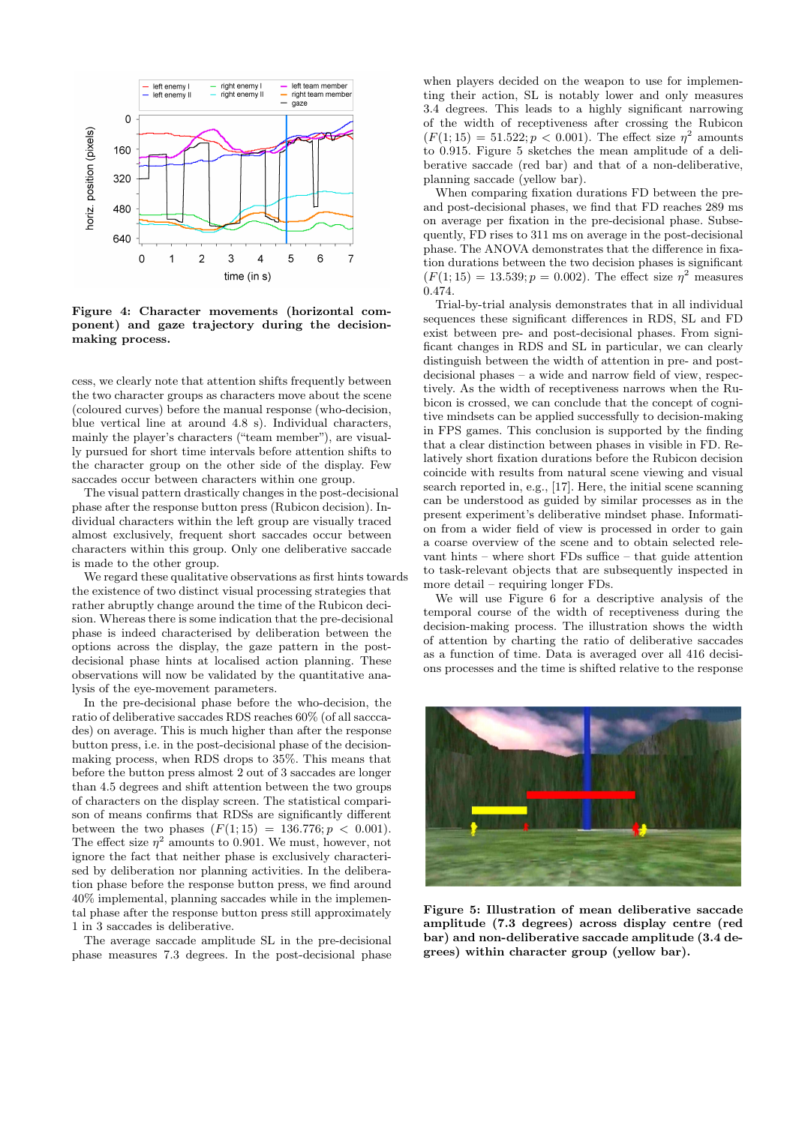

**Figure 4: Character movements (horizontal component) and gaze trajectory during the decisionmaking process.**

cess, we clearly note that attention shifts frequently between the two character groups as characters move about the scene (coloured curves) before the manual response (who-decision, blue vertical line at around 4.8 s). Individual characters, mainly the player's characters ("team member"), are visually pursued for short time intervals before attention shifts to the character group on the other side of the display. Few saccades occur between characters within one group.

The visual pattern drastically changes in the post-decisional phase after the response button press (Rubicon decision). Individual characters within the left group are visually traced almost exclusively, frequent short saccades occur between characters within this group. Only one deliberative saccade is made to the other group.

We regard these qualitative observations as first hints towards the existence of two distinct visual processing strategies that rather abruptly change around the time of the Rubicon decision. Whereas there is some indication that the pre-decisional phase is indeed characterised by deliberation between the options across the display, the gaze pattern in the postdecisional phase hints at localised action planning. These observations will now be validated by the quantitative analysis of the eye-movement parameters.

In the pre-decisional phase before the who-decision, the ratio of deliberative saccades RDS reaches 60% (of all sacccades) on average. This is much higher than after the response button press, i.e. in the post-decisional phase of the decisionmaking process, when RDS drops to 35%. This means that before the button press almost 2 out of 3 saccades are longer than 4.5 degrees and shift attention between the two groups of characters on the display screen. The statistical comparison of means confirms that RDSs are significantly different between the two phases  $(F(1, 15) = 136.776; p < 0.001)$ . The effect size  $\eta^2$  amounts to 0.901. We must, however, not ignore the fact that neither phase is exclusively characterised by deliberation nor planning activities. In the deliberation phase before the response button press, we find around 40% implemental, planning saccades while in the implemental phase after the response button press still approximately 1 in 3 saccades is deliberative.

The average saccade amplitude SL in the pre-decisional phase measures 7.3 degrees. In the post-decisional phase

when players decided on the weapon to use for implementing their action, SL is notably lower and only measures 3.4 degrees. This leads to a highly significant narrowing of the width of receptiveness after crossing the Rubicon  $(F(1; 15) = 51.522; p < 0.001)$ . The effect size  $\eta^2$  amounts to 0.915. Figure 5 sketches the mean amplitude of a deliberative saccade (red bar) and that of a non-deliberative, planning saccade (yellow bar).

When comparing fixation durations FD between the preand post-decisional phases, we find that FD reaches 289 ms on average per fixation in the pre-decisional phase. Subsequently, FD rises to 311 ms on average in the post-decisional phase. The ANOVA demonstrates that the difference in fixation durations between the two decision phases is significant  $(F(1; 15) = 13.539; p = 0.002)$ . The effect size  $\eta^2$  measures 0.474.

Trial-by-trial analysis demonstrates that in all individual sequences these significant differences in RDS, SL and FD exist between pre- and post-decisional phases. From significant changes in RDS and SL in particular, we can clearly distinguish between the width of attention in pre- and postdecisional phases – a wide and narrow field of view, respectively. As the width of receptiveness narrows when the Rubicon is crossed, we can conclude that the concept of cognitive mindsets can be applied successfully to decision-making in FPS games. This conclusion is supported by the finding that a clear distinction between phases in visible in FD. Relatively short fixation durations before the Rubicon decision coincide with results from natural scene viewing and visual search reported in, e.g., [17]. Here, the initial scene scanning can be understood as guided by similar processes as in the present experiment's deliberative mindset phase. Information from a wider field of view is processed in order to gain a coarse overview of the scene and to obtain selected relevant hints – where short FDs suffice – that guide attention to task-relevant objects that are subsequently inspected in more detail – requiring longer FDs.

We will use Figure 6 for a descriptive analysis of the temporal course of the width of receptiveness during the decision-making process. The illustration shows the width of attention by charting the ratio of deliberative saccades as a function of time. Data is averaged over all 416 decisions processes and the time is shifted relative to the response



**Figure 5: Illustration of mean deliberative saccade amplitude (7.3 degrees) across display centre (red bar) and non-deliberative saccade amplitude (3.4 degrees) within character group (yellow bar).**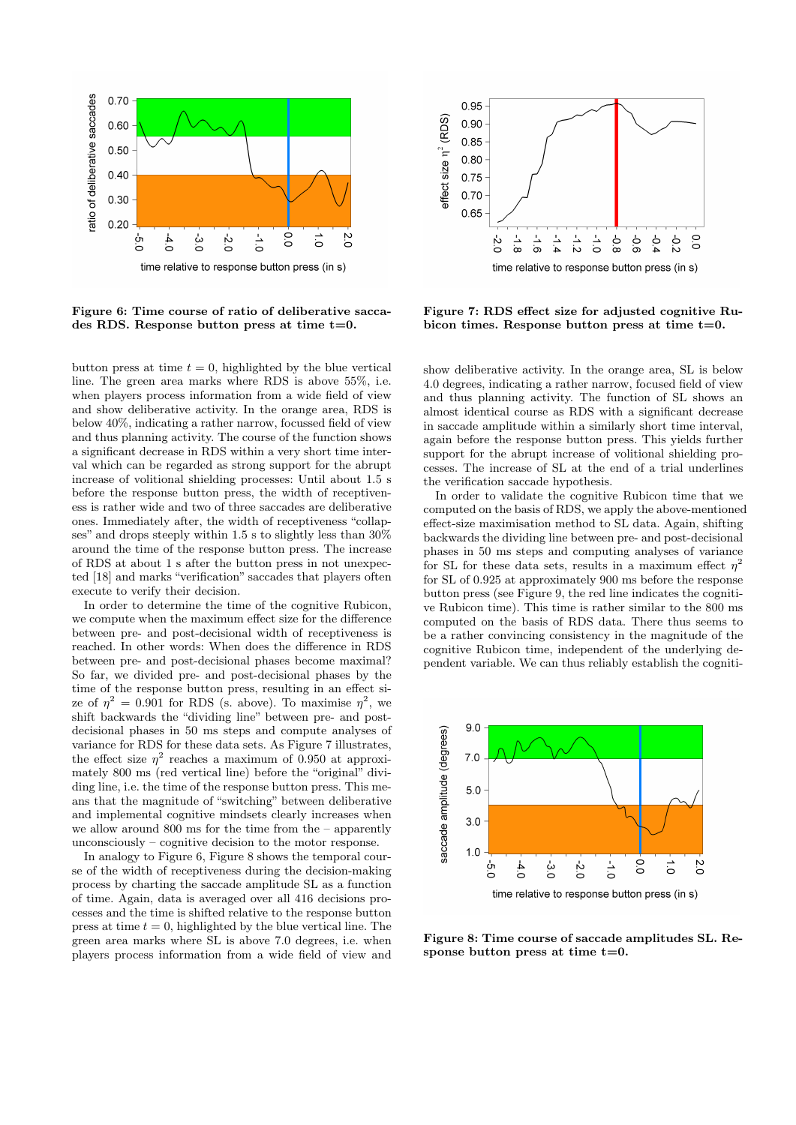

**Figure 6: Time course of ratio of deliberative saccades RDS. Response button press at time t=0.**

button press at time  $t = 0$ , highlighted by the blue vertical line. The green area marks where RDS is above 55%, i.e. when players process information from a wide field of view and show deliberative activity. In the orange area, RDS is below 40%, indicating a rather narrow, focussed field of view and thus planning activity. The course of the function shows a significant decrease in RDS within a very short time interval which can be regarded as strong support for the abrupt increase of volitional shielding processes: Until about 1.5 s before the response button press, the width of receptiveness is rather wide and two of three saccades are deliberative ones. Immediately after, the width of receptiveness "collapses" and drops steeply within 1.5 s to slightly less than 30% around the time of the response button press. The increase of RDS at about 1 s after the button press in not unexpected [18] and marks "verification" saccades that players often execute to verify their decision.

In order to determine the time of the cognitive Rubicon, we compute when the maximum effect size for the difference between pre- and post-decisional width of receptiveness is reached. In other words: When does the difference in RDS between pre- and post-decisional phases become maximal? So far, we divided pre- and post-decisional phases by the time of the response button press, resulting in an effect size of  $\eta^2 = 0.901$  for RDS (s. above). To maximise  $\eta^2$ , we shift backwards the "dividing line" between pre- and postdecisional phases in 50 ms steps and compute analyses of variance for RDS for these data sets. As Figure 7 illustrates, the effect size  $\eta^2$  reaches a maximum of 0.950 at approximately 800 ms (red vertical line) before the "original" dividing line, i.e. the time of the response button press. This means that the magnitude of "switching" between deliberative and implemental cognitive mindsets clearly increases when we allow around  $800 \text{ ms}$  for the time from the – apparently unconsciously – cognitive decision to the motor response.

In analogy to Figure 6, Figure 8 shows the temporal course of the width of receptiveness during the decision-making process by charting the saccade amplitude SL as a function of time. Again, data is averaged over all 416 decisions processes and the time is shifted relative to the response button press at time  $t = 0$ , highlighted by the blue vertical line. The green area marks where SL is above 7.0 degrees, i.e. when players process information from a wide field of view and



**Figure 7: RDS effect size for adjusted cognitive Rubicon times. Response button press at time t=0.**

show deliberative activity. In the orange area, SL is below 4.0 degrees, indicating a rather narrow, focused field of view and thus planning activity. The function of SL shows an almost identical course as RDS with a significant decrease in saccade amplitude within a similarly short time interval, again before the response button press. This yields further support for the abrupt increase of volitional shielding processes. The increase of SL at the end of a trial underlines the verification saccade hypothesis.

In order to validate the cognitive Rubicon time that we computed on the basis of RDS, we apply the above-mentioned effect-size maximisation method to SL data. Again, shifting backwards the dividing line between pre- and post-decisional phases in 50 ms steps and computing analyses of variance for SL for these data sets, results in a maximum effect  $\eta^2$ for SL of 0.925 at approximately 900 ms before the response button press (see Figure 9, the red line indicates the cognitive Rubicon time). This time is rather similar to the 800 ms computed on the basis of RDS data. There thus seems to be a rather convincing consistency in the magnitude of the cognitive Rubicon time, independent of the underlying dependent variable. We can thus reliably establish the cogniti-



**Figure 8: Time course of saccade amplitudes SL. Response button press at time t=0.**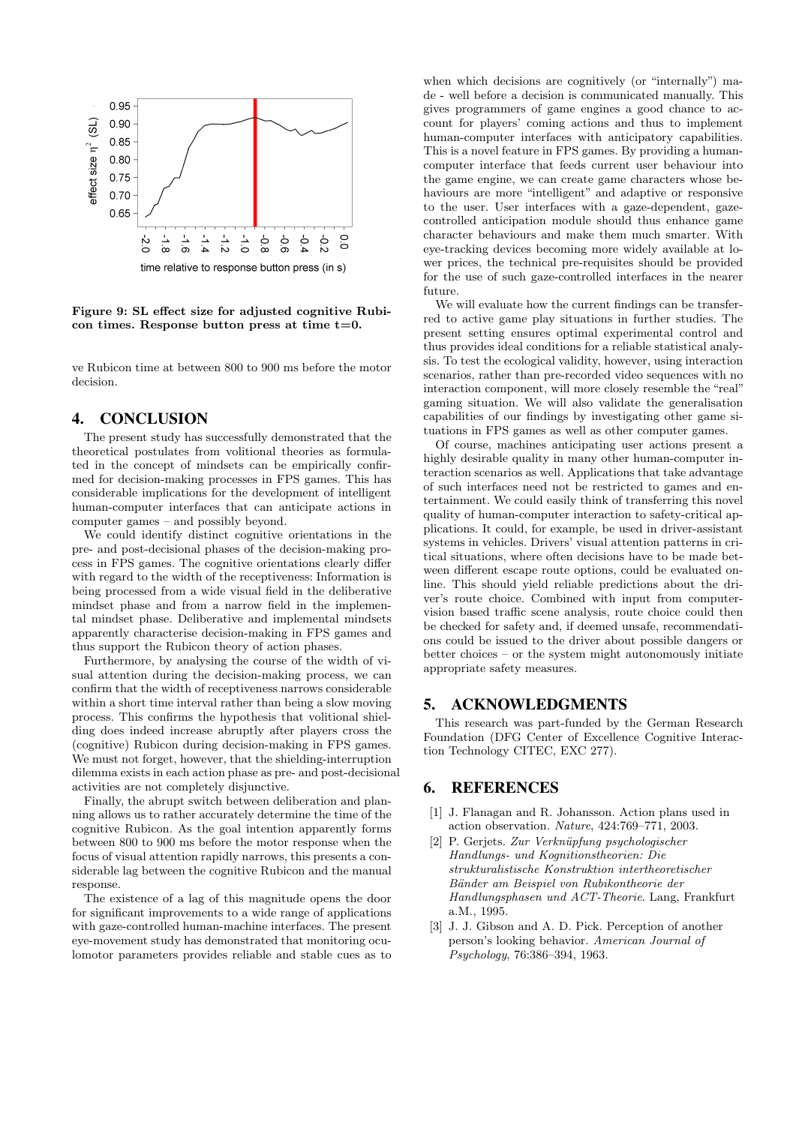

**Figure 9: SL effect size for adjusted cognitive Rubicon times. Response button press at time t=0.**

ve Rubicon time at between 800 to 900 ms before the motor decision.

## 4. CONCLUSION

The present study has successfully demonstrated that the theoretical postulates from volitional theories as formulated in the concept of mindsets can be empirically confirmed for decision-making processes in FPS games. This has considerable implications for the development of intelligent human-computer interfaces that can anticipate actions in computer games – and possibly beyond.

We could identify distinct cognitive orientations in the pre- and post-decisional phases of the decision-making process in FPS games. The cognitive orientations clearly differ with regard to the width of the receptiveness: Information is being processed from a wide visual field in the deliberative mindset phase and from a narrow field in the implemental mindset phase. Deliberative and implemental mindsets apparently characterise decision-making in FPS games and thus support the Rubicon theory of action phases.

Furthermore, by analysing the course of the width of visual attention during the decision-making process, we can confirm that the width of receptiveness narrows considerable within a short time interval rather than being a slow moving process. This confirms the hypothesis that volitional shielding does indeed increase abruptly after players cross the (cognitive) Rubicon during decision-making in FPS games. We must not forget, however, that the shielding-interruption dilemma exists in each action phase as pre- and post-decisional activities are not completely disjunctive.

Finally, the abrupt switch between deliberation and planning allows us to rather accurately determine the time of the cognitive Rubicon. As the goal intention apparently forms between 800 to 900 ms before the motor response when the focus of visual attention rapidly narrows, this presents a considerable lag between the cognitive Rubicon and the manual response.

The existence of a lag of this magnitude opens the door for significant improvements to a wide range of applications with gaze-controlled human-machine interfaces. The present eye-movement study has demonstrated that monitoring oculomotor parameters provides reliable and stable cues as to

when which decisions are cognitively (or "internally") made - well before a decision is communicated manually. This gives programmers of game engines a good chance to account for players' coming actions and thus to implement human-computer interfaces with anticipatory capabilities. This is a novel feature in FPS games. By providing a humancomputer interface that feeds current user behaviour into the game engine, we can create game characters whose behaviours are more "intelligent" and adaptive or responsive to the user. User interfaces with a gaze-dependent, gazecontrolled anticipation module should thus enhance game character behaviours and make them much smarter. With eye-tracking devices becoming more widely available at lower prices, the technical pre-requisites should be provided for the use of such gaze-controlled interfaces in the nearer future.

We will evaluate how the current findings can be transferred to active game play situations in further studies. The present setting ensures optimal experimental control and thus provides ideal conditions for a reliable statistical analysis. To test the ecological validity, however, using interaction scenarios, rather than pre-recorded video sequences with no interaction component, will more closely resemble the "real" gaming situation. We will also validate the generalisation capabilities of our findings by investigating other game situations in FPS games as well as other computer games.

Of course, machines anticipating user actions present a highly desirable quality in many other human-computer interaction scenarios as well. Applications that take advantage of such interfaces need not be restricted to games and entertainment. We could easily think of transferring this novel quality of human-computer interaction to safety-critical applications. It could, for example, be used in driver-assistant systems in vehicles. Drivers' visual attention patterns in critical situations, where often decisions have to be made between different escape route options, could be evaluated online. This should yield reliable predictions about the driver's route choice. Combined with input from computervision based traffic scene analysis, route choice could then be checked for safety and, if deemed unsafe, recommendations could be issued to the driver about possible dangers or better choices – or the system might autonomously initiate appropriate safety measures.

#### 5. ACKNOWLEDGMENTS

This research was part-funded by the German Research Foundation (DFG Center of Excellence Cognitive Interaction Technology CITEC, EXC 277).

#### 6. REFERENCES

- [1] J. Flanagan and R. Johansson. Action plans used in action observation. *Nature*, 424:769–771, 2003.
- [2] P. Gerjets. *Zur Verknupfung psychologischer ¨ Handlungs- und Kognitionstheorien: Die strukturalistische Konstruktion intertheoretischer B¨ander am Beispiel von Rubikontheorie der Handlungsphasen und ACT-Theorie*. Lang, Frankfurt a.M., 1995.
- [3] J. J. Gibson and A. D. Pick. Perception of another person's looking behavior. *American Journal of Psychology*, 76:386–394, 1963.